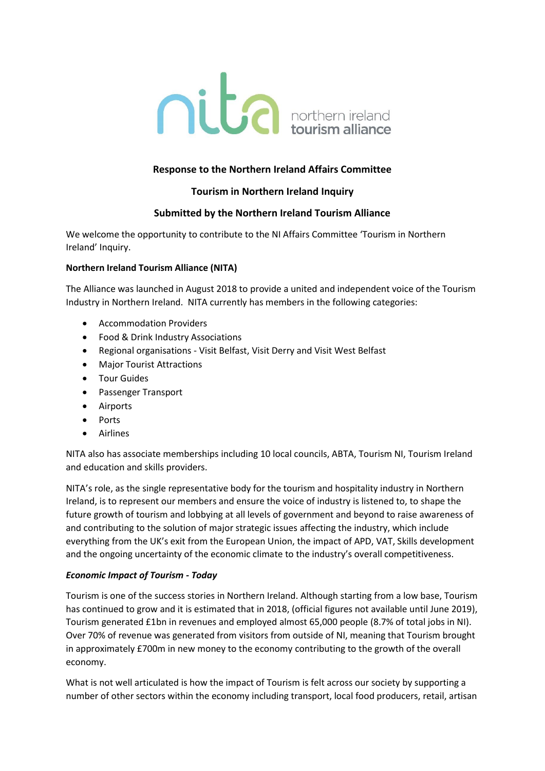

# **Response to the Northern Ireland Affairs Committee**

## **Tourism in Northern Ireland Inquiry**

## **Submitted by the Northern Ireland Tourism Alliance**

We welcome the opportunity to contribute to the NI Affairs Committee 'Tourism in Northern Ireland' Inquiry.

### **Northern Ireland Tourism Alliance (NITA)**

The Alliance was launched in August 2018 to provide a united and independent voice of the Tourism Industry in Northern Ireland. NITA currently has members in the following categories:

- Accommodation Providers
- Food & Drink Industry Associations
- Regional organisations Visit Belfast, Visit Derry and Visit West Belfast
- Major Tourist Attractions
- **•** Tour Guides
- Passenger Transport
- Airports
- Ports
- Airlines

NITA also has associate memberships including 10 local councils, ABTA, Tourism NI, Tourism Ireland and education and skills providers.

NITA's role, as the single representative body for the tourism and hospitality industry in Northern Ireland, is to represent our members and ensure the voice of industry is listened to, to shape the future growth of tourism and lobbying at all levels of government and beyond to raise awareness of and contributing to the solution of major strategic issues affecting the industry, which include everything from the UK's exit from the European Union, the impact of APD, VAT, Skills development and the ongoing uncertainty of the economic climate to the industry's overall competitiveness.

#### *Economic Impact of Tourism - Today*

Tourism is one of the success stories in Northern Ireland. Although starting from a low base, Tourism has continued to grow and it is estimated that in 2018, (official figures not available until June 2019), Tourism generated £1bn in revenues and employed almost 65,000 people (8.7% of total jobs in NI). Over 70% of revenue was generated from visitors from outside of NI, meaning that Tourism brought in approximately £700m in new money to the economy contributing to the growth of the overall economy.

What is not well articulated is how the impact of Tourism is felt across our society by supporting a number of other sectors within the economy including transport, local food producers, retail, artisan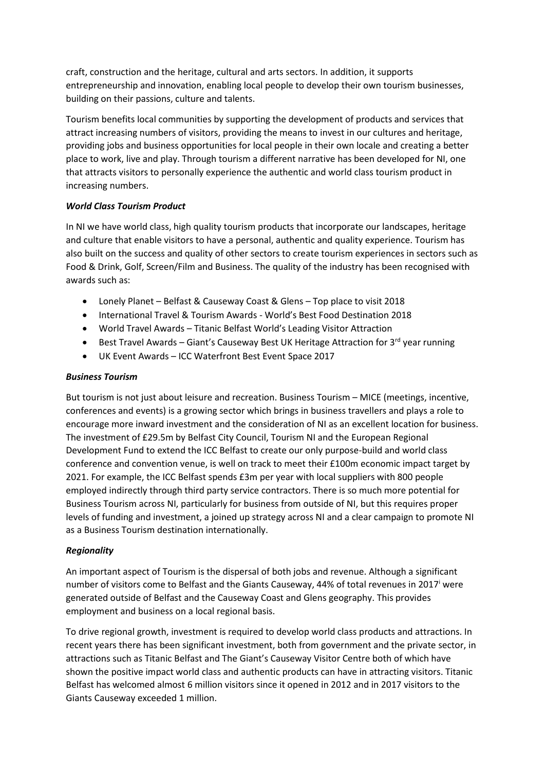craft, construction and the heritage, cultural and arts sectors. In addition, it supports entrepreneurship and innovation, enabling local people to develop their own tourism businesses, building on their passions, culture and talents.

Tourism benefits local communities by supporting the development of products and services that attract increasing numbers of visitors, providing the means to invest in our cultures and heritage, providing jobs and business opportunities for local people in their own locale and creating a better place to work, live and play. Through tourism a different narrative has been developed for NI, one that attracts visitors to personally experience the authentic and world class tourism product in increasing numbers.

### *World Class Tourism Product*

In NI we have world class, high quality tourism products that incorporate our landscapes, heritage and culture that enable visitors to have a personal, authentic and quality experience. Tourism has also built on the success and quality of other sectors to create tourism experiences in sectors such as Food & Drink, Golf, Screen/Film and Business. The quality of the industry has been recognised with awards such as:

- Lonely Planet Belfast & Causeway Coast & Glens Top place to visit 2018
- International Travel & Tourism Awards World's Best Food Destination 2018
- World Travel Awards Titanic Belfast World's Leading Visitor Attraction
- **Best Travel Awards Giant's Causeway Best UK Heritage Attraction for 3<sup>rd</sup> year running**
- UK Event Awards ICC Waterfront Best Event Space 2017

### *Business Tourism*

But tourism is not just about leisure and recreation. Business Tourism – MICE (meetings, incentive, conferences and events) is a growing sector which brings in business travellers and plays a role to encourage more inward investment and the consideration of NI as an excellent location for business. The investment of £29.5m by Belfast City Council, Tourism NI and the European Regional Development Fund to extend the ICC Belfast to create our only purpose-build and world class conference and convention venue, is well on track to meet their £100m economic impact target by 2021. For example, the ICC Belfast spends £3m per year with local suppliers with 800 people employed indirectly through third party service contractors. There is so much more potential for Business Tourism across NI, particularly for business from outside of NI, but this requires proper levels of funding and investment, a joined up strategy across NI and a clear campaign to promote NI as a Business Tourism destination internationally.

## *Regionality*

An important aspect of Tourism is the dispersal of both jobs and revenue. Although a significant number of visitors come to Belfast and the Giants Causeway, 44% of total revenues in 2017 were generated outside of Belfast and the Causeway Coast and Glens geography. This provides employment and business on a local regional basis.

To drive regional growth, investment is required to develop world class products and attractions. In recent years there has been significant investment, both from government and the private sector, in attractions such as Titanic Belfast and The Giant's Causeway Visitor Centre both of which have shown the positive impact world class and authentic products can have in attracting visitors. Titanic Belfast has welcomed almost 6 million visitors since it opened in 2012 and in 2017 visitors to the Giants Causeway exceeded 1 million.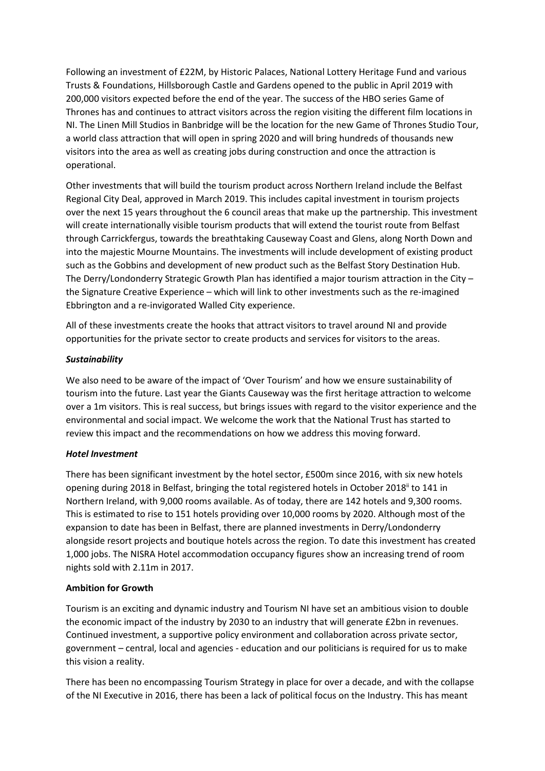Following an investment of £22M, by Historic Palaces, National Lottery Heritage Fund and various Trusts & Foundations, Hillsborough Castle and Gardens opened to the public in April 2019 with 200,000 visitors expected before the end of the year. The success of the HBO series Game of Thrones has and continues to attract visitors across the region visiting the different film locations in NI. The Linen Mill Studios in Banbridge will be the location for the new Game of Thrones Studio Tour, a world class attraction that will open in spring 2020 and will bring hundreds of thousands new visitors into the area as well as creating jobs during construction and once the attraction is operational.

Other investments that will build the tourism product across Northern Ireland include the Belfast Regional City Deal, approved in March 2019. This includes capital investment in tourism projects over the next 15 years throughout the 6 council areas that make up the partnership. This investment will create internationally visible tourism products that will extend the tourist route from Belfast through Carrickfergus, towards the breathtaking Causeway Coast and Glens, along North Down and into the majestic Mourne Mountains. The investments will include development of existing product such as the Gobbins and development of new product such as the Belfast Story Destination Hub. The Derry/Londonderry Strategic Growth Plan has identified a major tourism attraction in the City – the Signature Creative Experience – which will link to other investments such as the re-imagined Ebbrington and a re-invigorated Walled City experience.

All of these investments create the hooks that attract visitors to travel around NI and provide opportunities for the private sector to create products and services for visitors to the areas.

### *Sustainability*

We also need to be aware of the impact of 'Over Tourism' and how we ensure sustainability of tourism into the future. Last year the Giants Causeway was the first heritage attraction to welcome over a 1m visitors. This is real success, but brings issues with regard to the visitor experience and the environmental and social impact. We welcome the work that the National Trust has started to review this impact and the recommendations on how we address this moving forward.

#### *Hotel Investment*

There has been significant investment by the hotel sector, £500m since 2016, with six new hotels opening during 2018 in Belfast, bringing the total registered hotels in October 2018<sup>ii</sup> to 141 in Northern Ireland, with 9,000 rooms available. As of today, there are 142 hotels and 9,300 rooms. This is estimated to rise to 151 hotels providing over 10,000 rooms by 2020. Although most of the expansion to date has been in Belfast, there are planned investments in Derry/Londonderry alongside resort projects and boutique hotels across the region. To date this investment has created 1,000 jobs. The NISRA Hotel accommodation occupancy figures show an increasing trend of room nights sold with 2.11m in 2017.

## **Ambition for Growth**

Tourism is an exciting and dynamic industry and Tourism NI have set an ambitious vision to double the economic impact of the industry by 2030 to an industry that will generate £2bn in revenues. Continued investment, a supportive policy environment and collaboration across private sector, government – central, local and agencies - education and our politicians is required for us to make this vision a reality.

There has been no encompassing Tourism Strategy in place for over a decade, and with the collapse of the NI Executive in 2016, there has been a lack of political focus on the Industry. This has meant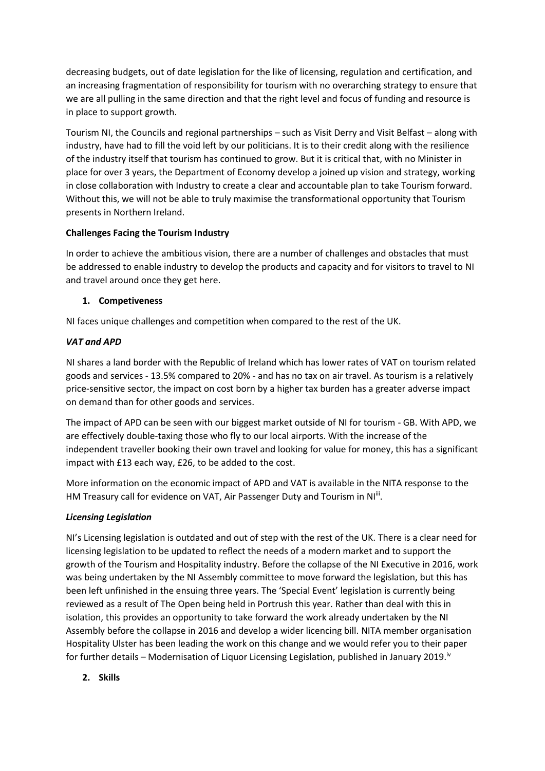decreasing budgets, out of date legislation for the like of licensing, regulation and certification, and an increasing fragmentation of responsibility for tourism with no overarching strategy to ensure that we are all pulling in the same direction and that the right level and focus of funding and resource is in place to support growth.

Tourism NI, the Councils and regional partnerships – such as Visit Derry and Visit Belfast – along with industry, have had to fill the void left by our politicians. It is to their credit along with the resilience of the industry itself that tourism has continued to grow. But it is critical that, with no Minister in place for over 3 years, the Department of Economy develop a joined up vision and strategy, working in close collaboration with Industry to create a clear and accountable plan to take Tourism forward. Without this, we will not be able to truly maximise the transformational opportunity that Tourism presents in Northern Ireland.

## **Challenges Facing the Tourism Industry**

In order to achieve the ambitious vision, there are a number of challenges and obstacles that must be addressed to enable industry to develop the products and capacity and for visitors to travel to NI and travel around once they get here.

## **1. Competiveness**

NI faces unique challenges and competition when compared to the rest of the UK.

# *VAT and APD*

NI shares a land border with the Republic of Ireland which has lower rates of VAT on tourism related goods and services - 13.5% compared to 20% - and has no tax on air travel. As tourism is a relatively price-sensitive sector, the impact on cost born by a higher tax burden has a greater adverse impact on demand than for other goods and services.

The impact of APD can be seen with our biggest market outside of NI for tourism - GB. With APD, we are effectively double-taxing those who fly to our local airports. With the increase of the independent traveller booking their own travel and looking for value for money, this has a significant impact with £13 each way, £26, to be added to the cost.

More information on the economic impact of APD and VAT is available in the NITA response to the HM Treasury call for evidence on VAT, Air Passenger Duty and Tourism in NI<sup>iii</sup>.

## *Licensing Legislation*

NI's Licensing legislation is outdated and out of step with the rest of the UK. There is a clear need for licensing legislation to be updated to reflect the needs of a modern market and to support the growth of the Tourism and Hospitality industry. Before the collapse of the NI Executive in 2016, work was being undertaken by the NI Assembly committee to move forward the legislation, but this has been left unfinished in the ensuing three years. The 'Special Event' legislation is currently being reviewed as a result of The Open being held in Portrush this year. Rather than deal with this in isolation, this provides an opportunity to take forward the work already undertaken by the NI Assembly before the collapse in 2016 and develop a wider licencing bill. NITA member organisation Hospitality Ulster has been leading the work on this change and we would refer you to their paper for further details – Modernisation of Liquor Licensing Legislation, published in January 2019.<sup>iv</sup>

**2. Skills**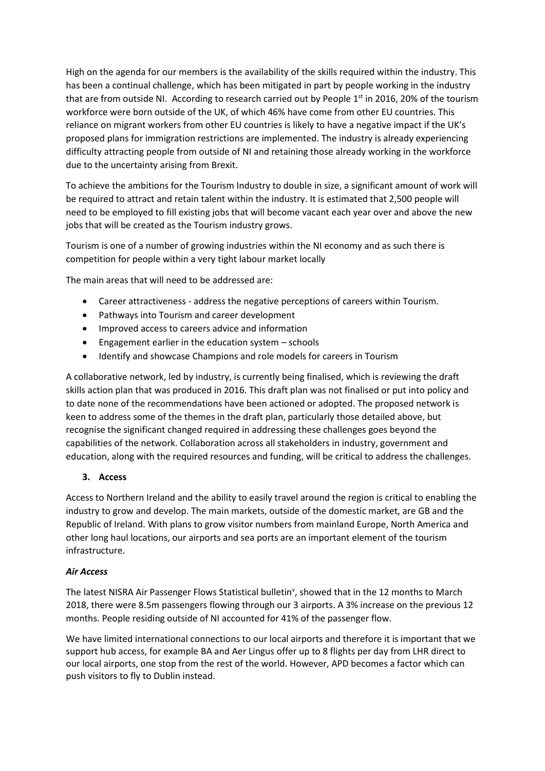High on the agenda for our members is the availability of the skills required within the industry. This has been a continual challenge, which has been mitigated in part by people working in the industry that are from outside NI. According to research carried out by People 1<sup>st</sup> in 2016, 20% of the tourism workforce were born outside of the UK, of which 46% have come from other EU countries. This reliance on migrant workers from other EU countries is likely to have a negative impact if the UK's proposed plans for immigration restrictions are implemented. The industry is already experiencing difficulty attracting people from outside of NI and retaining those already working in the workforce due to the uncertainty arising from Brexit.

To achieve the ambitions for the Tourism Industry to double in size, a significant amount of work will be required to attract and retain talent within the industry. It is estimated that 2,500 people will need to be employed to fill existing jobs that will become vacant each year over and above the new jobs that will be created as the Tourism industry grows.

Tourism is one of a number of growing industries within the NI economy and as such there is competition for people within a very tight labour market locally

The main areas that will need to be addressed are:

- Career attractiveness address the negative perceptions of careers within Tourism.
- Pathways into Tourism and career development
- Improved access to careers advice and information
- Engagement earlier in the education system schools
- Identify and showcase Champions and role models for careers in Tourism

A collaborative network, led by industry, is currently being finalised, which is reviewing the draft skills action plan that was produced in 2016. This draft plan was not finalised or put into policy and to date none of the recommendations have been actioned or adopted. The proposed network is keen to address some of the themes in the draft plan, particularly those detailed above, but recognise the significant changed required in addressing these challenges goes beyond the capabilities of the network. Collaboration across all stakeholders in industry, government and education, along with the required resources and funding, will be critical to address the challenges.

## **3. Access**

Access to Northern Ireland and the ability to easily travel around the region is critical to enabling the industry to grow and develop. The main markets, outside of the domestic market, are GB and the Republic of Ireland. With plans to grow visitor numbers from mainland Europe, North America and other long haul locations, our airports and sea ports are an important element of the tourism infrastructure.

## *Air Access*

The latest NISRA Air Passenger Flows Statistical bulletin<sup>v</sup>, showed that in the 12 months to March 2018, there were 8.5m passengers flowing through our 3 airports. A 3% increase on the previous 12 months. People residing outside of NI accounted for 41% of the passenger flow.

We have limited international connections to our local airports and therefore it is important that we support hub access, for example BA and Aer Lingus offer up to 8 flights per day from LHR direct to our local airports, one stop from the rest of the world. However, APD becomes a factor which can push visitors to fly to Dublin instead.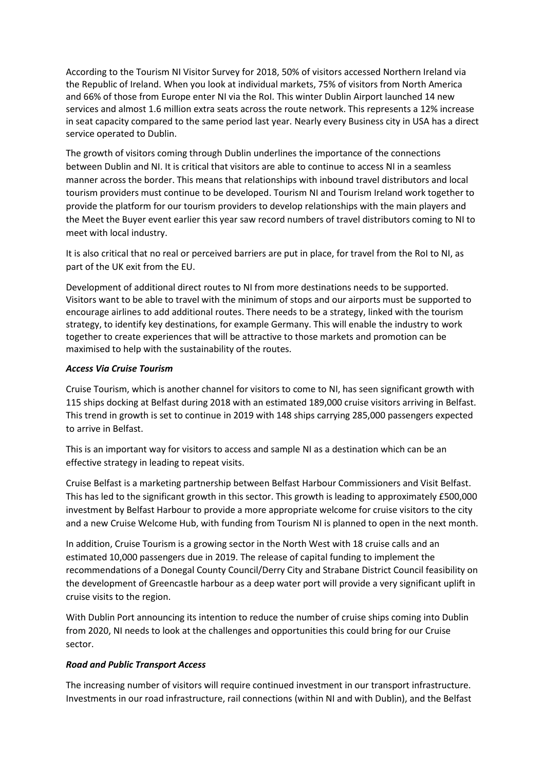According to the Tourism NI Visitor Survey for 2018, 50% of visitors accessed Northern Ireland via the Republic of Ireland. When you look at individual markets, 75% of visitors from North America and 66% of those from Europe enter NI via the RoI. This winter Dublin Airport launched 14 new services and almost 1.6 million extra seats across the route network. This represents a 12% increase in seat capacity compared to the same period last year. Nearly every Business city in USA has a direct service operated to Dublin.

The growth of visitors coming through Dublin underlines the importance of the connections between Dublin and NI. It is critical that visitors are able to continue to access NI in a seamless manner across the border. This means that relationships with inbound travel distributors and local tourism providers must continue to be developed. Tourism NI and Tourism Ireland work together to provide the platform for our tourism providers to develop relationships with the main players and the Meet the Buyer event earlier this year saw record numbers of travel distributors coming to NI to meet with local industry.

It is also critical that no real or perceived barriers are put in place, for travel from the RoI to NI, as part of the UK exit from the EU.

Development of additional direct routes to NI from more destinations needs to be supported. Visitors want to be able to travel with the minimum of stops and our airports must be supported to encourage airlines to add additional routes. There needs to be a strategy, linked with the tourism strategy, to identify key destinations, for example Germany. This will enable the industry to work together to create experiences that will be attractive to those markets and promotion can be maximised to help with the sustainability of the routes.

### *Access Via Cruise Tourism*

Cruise Tourism, which is another channel for visitors to come to NI, has seen significant growth with 115 ships docking at Belfast during 2018 with an estimated 189,000 cruise visitors arriving in Belfast. This trend in growth is set to continue in 2019 with 148 ships carrying 285,000 passengers expected to arrive in Belfast.

This is an important way for visitors to access and sample NI as a destination which can be an effective strategy in leading to repeat visits.

Cruise Belfast is a marketing partnership between Belfast Harbour Commissioners and Visit Belfast. This has led to the significant growth in this sector. This growth is leading to approximately £500,000 investment by Belfast Harbour to provide a more appropriate welcome for cruise visitors to the city and a new Cruise Welcome Hub, with funding from Tourism NI is planned to open in the next month.

In addition, Cruise Tourism is a growing sector in the North West with 18 cruise calls and an estimated 10,000 passengers due in 2019. The release of capital funding to implement the recommendations of a Donegal County Council/Derry City and Strabane District Council feasibility on the development of Greencastle harbour as a deep water port will provide a very significant uplift in cruise visits to the region.

With Dublin Port announcing its intention to reduce the number of cruise ships coming into Dublin from 2020, NI needs to look at the challenges and opportunities this could bring for our Cruise sector.

## *Road and Public Transport Access*

The increasing number of visitors will require continued investment in our transport infrastructure. Investments in our road infrastructure, rail connections (within NI and with Dublin), and the Belfast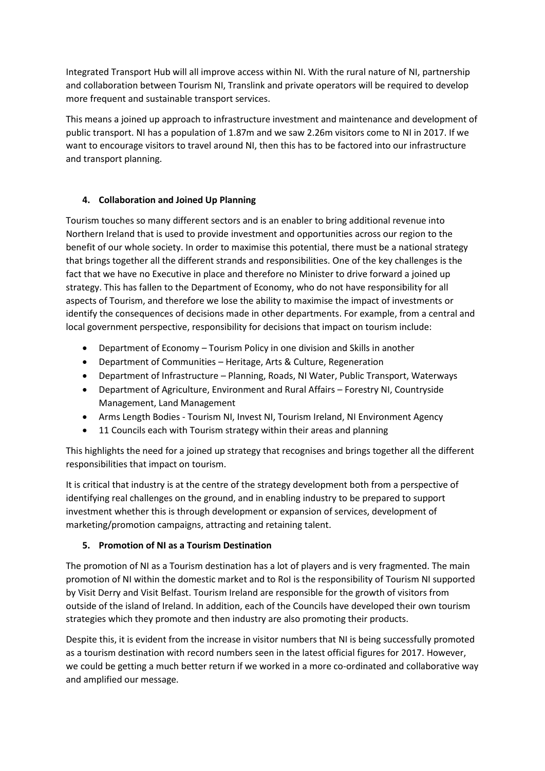Integrated Transport Hub will all improve access within NI. With the rural nature of NI, partnership and collaboration between Tourism NI, Translink and private operators will be required to develop more frequent and sustainable transport services.

This means a joined up approach to infrastructure investment and maintenance and development of public transport. NI has a population of 1.87m and we saw 2.26m visitors come to NI in 2017. If we want to encourage visitors to travel around NI, then this has to be factored into our infrastructure and transport planning.

# **4. Collaboration and Joined Up Planning**

Tourism touches so many different sectors and is an enabler to bring additional revenue into Northern Ireland that is used to provide investment and opportunities across our region to the benefit of our whole society. In order to maximise this potential, there must be a national strategy that brings together all the different strands and responsibilities. One of the key challenges is the fact that we have no Executive in place and therefore no Minister to drive forward a joined up strategy. This has fallen to the Department of Economy, who do not have responsibility for all aspects of Tourism, and therefore we lose the ability to maximise the impact of investments or identify the consequences of decisions made in other departments. For example, from a central and local government perspective, responsibility for decisions that impact on tourism include:

- Department of Economy Tourism Policy in one division and Skills in another
- Department of Communities Heritage, Arts & Culture, Regeneration
- Department of Infrastructure Planning, Roads, NI Water, Public Transport, Waterways
- Department of Agriculture, Environment and Rural Affairs Forestry NI, Countryside Management, Land Management
- Arms Length Bodies Tourism NI, Invest NI, Tourism Ireland, NI Environment Agency
- 11 Councils each with Tourism strategy within their areas and planning

This highlights the need for a joined up strategy that recognises and brings together all the different responsibilities that impact on tourism.

It is critical that industry is at the centre of the strategy development both from a perspective of identifying real challenges on the ground, and in enabling industry to be prepared to support investment whether this is through development or expansion of services, development of marketing/promotion campaigns, attracting and retaining talent.

## **5. Promotion of NI as a Tourism Destination**

The promotion of NI as a Tourism destination has a lot of players and is very fragmented. The main promotion of NI within the domestic market and to RoI is the responsibility of Tourism NI supported by Visit Derry and Visit Belfast. Tourism Ireland are responsible for the growth of visitors from outside of the island of Ireland. In addition, each of the Councils have developed their own tourism strategies which they promote and then industry are also promoting their products.

Despite this, it is evident from the increase in visitor numbers that NI is being successfully promoted as a tourism destination with record numbers seen in the latest official figures for 2017. However, we could be getting a much better return if we worked in a more co-ordinated and collaborative way and amplified our message.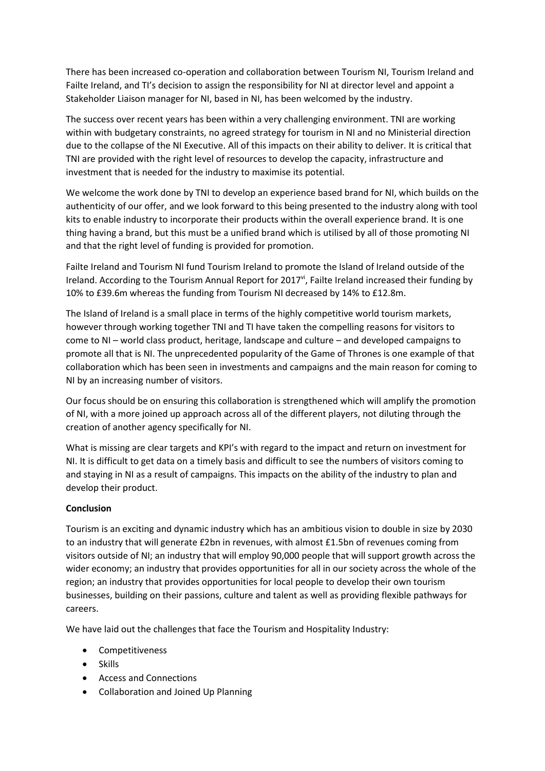There has been increased co-operation and collaboration between Tourism NI, Tourism Ireland and Failte Ireland, and TI's decision to assign the responsibility for NI at director level and appoint a Stakeholder Liaison manager for NI, based in NI, has been welcomed by the industry.

The success over recent years has been within a very challenging environment. TNI are working within with budgetary constraints, no agreed strategy for tourism in NI and no Ministerial direction due to the collapse of the NI Executive. All of this impacts on their ability to deliver. It is critical that TNI are provided with the right level of resources to develop the capacity, infrastructure and investment that is needed for the industry to maximise its potential.

We welcome the work done by TNI to develop an experience based brand for NI, which builds on the authenticity of our offer, and we look forward to this being presented to the industry along with tool kits to enable industry to incorporate their products within the overall experience brand. It is one thing having a brand, but this must be a unified brand which is utilised by all of those promoting NI and that the right level of funding is provided for promotion.

Failte Ireland and Tourism NI fund Tourism Ireland to promote the Island of Ireland outside of the Ireland. According to the Tourism Annual Report for 2017<sup>vi</sup>, Failte Ireland increased their funding by 10% to £39.6m whereas the funding from Tourism NI decreased by 14% to £12.8m.

The Island of Ireland is a small place in terms of the highly competitive world tourism markets, however through working together TNI and TI have taken the compelling reasons for visitors to come to NI – world class product, heritage, landscape and culture – and developed campaigns to promote all that is NI. The unprecedented popularity of the Game of Thrones is one example of that collaboration which has been seen in investments and campaigns and the main reason for coming to NI by an increasing number of visitors.

Our focus should be on ensuring this collaboration is strengthened which will amplify the promotion of NI, with a more joined up approach across all of the different players, not diluting through the creation of another agency specifically for NI.

What is missing are clear targets and KPI's with regard to the impact and return on investment for NI. It is difficult to get data on a timely basis and difficult to see the numbers of visitors coming to and staying in NI as a result of campaigns. This impacts on the ability of the industry to plan and develop their product.

## **Conclusion**

Tourism is an exciting and dynamic industry which has an ambitious vision to double in size by 2030 to an industry that will generate £2bn in revenues, with almost £1.5bn of revenues coming from visitors outside of NI; an industry that will employ 90,000 people that will support growth across the wider economy; an industry that provides opportunities for all in our society across the whole of the region; an industry that provides opportunities for local people to develop their own tourism businesses, building on their passions, culture and talent as well as providing flexible pathways for careers.

We have laid out the challenges that face the Tourism and Hospitality Industry:

- Competitiveness
- Skills
- Access and Connections
- Collaboration and Joined Up Planning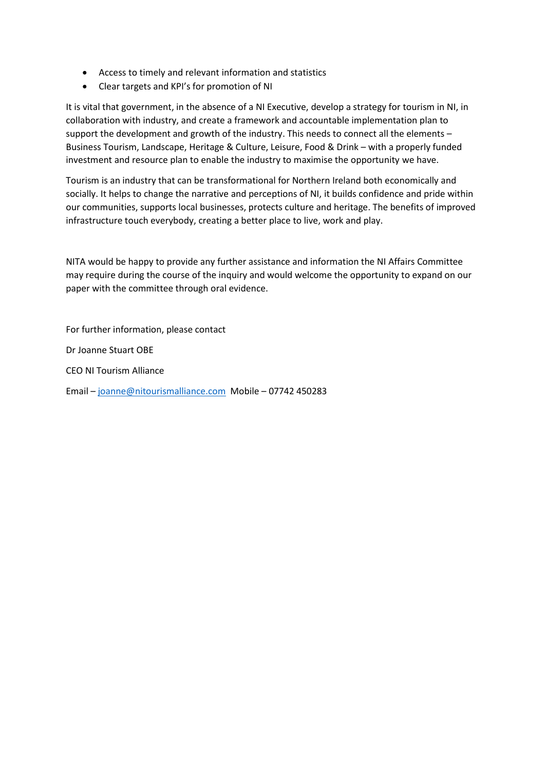- Access to timely and relevant information and statistics
- Clear targets and KPI's for promotion of NI

It is vital that government, in the absence of a NI Executive, develop a strategy for tourism in NI, in collaboration with industry, and create a framework and accountable implementation plan to support the development and growth of the industry. This needs to connect all the elements – Business Tourism, Landscape, Heritage & Culture, Leisure, Food & Drink – with a properly funded investment and resource plan to enable the industry to maximise the opportunity we have.

Tourism is an industry that can be transformational for Northern Ireland both economically and socially. It helps to change the narrative and perceptions of NI, it builds confidence and pride within our communities, supports local businesses, protects culture and heritage. The benefits of improved infrastructure touch everybody, creating a better place to live, work and play.

NITA would be happy to provide any further assistance and information the NI Affairs Committee may require during the course of the inquiry and would welcome the opportunity to expand on our paper with the committee through oral evidence.

For further information, please contact Dr Joanne Stuart OBE CEO NI Tourism Alliance Email – [joanne@nitourismalliance.com](mailto:joanne@nitourismalliance.com) Mobile – 07742 450283